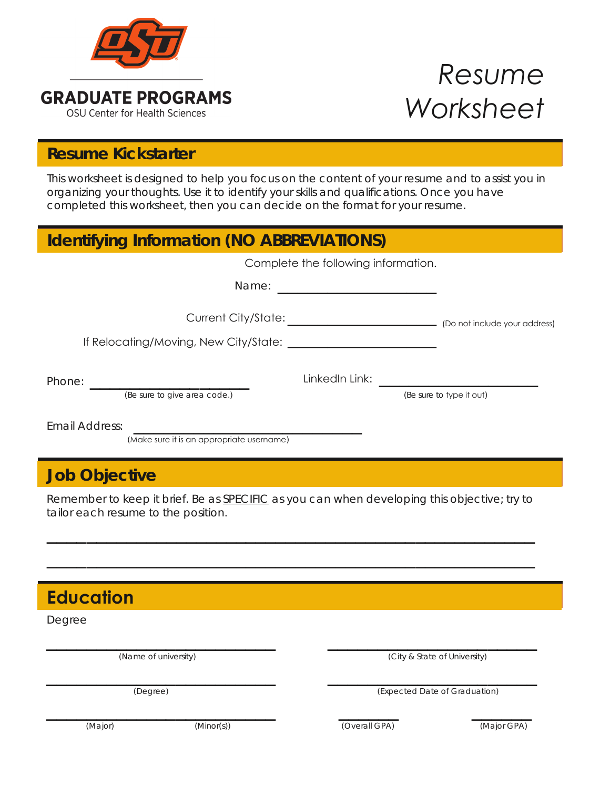

# *Resume Worksheet*

## **Resume Kickstarter Resume Kickstarter**

This worksheet is designed to help you focus on the content of your resume and to assist you in organizing your thoughts. Use it to identify your skills and qualifications. Once you have completed this worksheet, then you can decide on the format for your resume.

| <b>Identifying Information (NO ABBREVIATIONS)</b>           |                                                                                       |                          |  |
|-------------------------------------------------------------|---------------------------------------------------------------------------------------|--------------------------|--|
|                                                             | Complete the following information.                                                   |                          |  |
|                                                             |                                                                                       |                          |  |
|                                                             | Current City/State: ___________________________________ (Do not include your address) |                          |  |
|                                                             |                                                                                       |                          |  |
|                                                             |                                                                                       |                          |  |
| (Be sure to give area code.)                                |                                                                                       | (Be sure to type it out) |  |
| Email Address:<br>(Make sure it is an appropriate username) |                                                                                       |                          |  |
| <b>Job Objective</b>                                        |                                                                                       |                          |  |

Remember to keep it brief. Be as **SPECIFIC** as you can when developing this objective; try to tailor each resume to the position.

 $\mathcal{L} = \{ \mathcal{L} \mid \mathcal{L} \text{ and } \mathcal{L} \text{ and } \mathcal{L} \text{ and } \mathcal{L} \text{ and } \mathcal{L} \text{ and } \mathcal{L} \text{ and } \mathcal{L} \text{ and } \mathcal{L} \text{ and } \mathcal{L} \text{ and } \mathcal{L} \text{ and } \mathcal{L} \text{ and } \mathcal{L} \text{ and } \mathcal{L} \text{ and } \mathcal{L} \text{ and } \mathcal{L} \text{ and } \mathcal{L} \text{ and } \mathcal{L} \text{ and } \mathcal{L} \text{ and } \mathcal{L$ 

 $\mathcal{L} = \{ \mathcal{L} \mid \mathcal{L} \text{ and } \mathcal{L} \text{ and } \mathcal{L} \text{ and } \mathcal{L} \text{ and } \mathcal{L} \text{ and } \mathcal{L} \text{ and } \mathcal{L} \text{ and } \mathcal{L} \text{ and } \mathcal{L} \text{ and } \mathcal{L} \text{ and } \mathcal{L} \text{ and } \mathcal{L} \text{ and } \mathcal{L} \text{ and } \mathcal{L} \text{ and } \mathcal{L} \text{ and } \mathcal{L} \text{ and } \mathcal{L} \text{ and } \mathcal{L} \text{ and } \mathcal{L$ 

| <b>Education</b> |                      |               |                               |  |
|------------------|----------------------|---------------|-------------------------------|--|
| Degree           |                      |               |                               |  |
|                  | (Name of university) |               | (City & State of University)  |  |
| (Degree)         |                      |               | (Expected Date of Graduation) |  |
| (Major)          | (Minor(s))           | (Overall GPA) | (Major GPA)                   |  |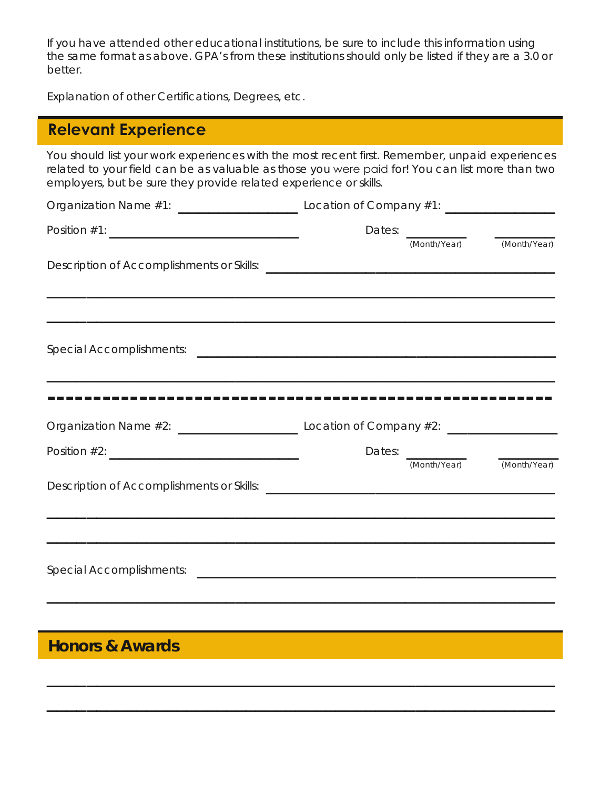If you have attended other educational institutions, be sure to include this information using the same format as above. GPA's from these institutions should only be listed if they are a 3.0 or better.

Explanation of other Certifications, Degrees, etc.

## **Relevant Experience**

You should list your work experiences with the most recent first. Remember, unpaid experiences related to your field can be as valuable as those you were paid for! You can list more than two employers, but be sure they provide related experience or skills.

|                  |  | Dates: $\frac{1}{\sqrt{1-\frac{1}{2}}\sqrt{1-\frac{1}{2}}\sqrt{1-\frac{1}{2}}\sqrt{1-\frac{1}{2}}\sqrt{1-\frac{1}{2}}\sqrt{1-\frac{1}{2}}\sqrt{1-\frac{1}{2}}\sqrt{1-\frac{1}{2}}\sqrt{1-\frac{1}{2}}\sqrt{1-\frac{1}{2}}\sqrt{1-\frac{1}{2}}\sqrt{1-\frac{1}{2}}\sqrt{1-\frac{1}{2}}\sqrt{1-\frac{1}{2}}\sqrt{1-\frac{1}{2}}\sqrt{1-\frac{1}{2}}\sqrt{1-\frac{1}{2}}\sqrt{1-\frac{1}{2}}\sqrt{1-\frac{1}{2$<br>(Month/Year) (Month/Year) |  |
|------------------|--|-------------------------------------------------------------------------------------------------------------------------------------------------------------------------------------------------------------------------------------------------------------------------------------------------------------------------------------------------------------------------------------------------------------------------------------------|--|
|                  |  |                                                                                                                                                                                                                                                                                                                                                                                                                                           |  |
|                  |  |                                                                                                                                                                                                                                                                                                                                                                                                                                           |  |
|                  |  |                                                                                                                                                                                                                                                                                                                                                                                                                                           |  |
|                  |  |                                                                                                                                                                                                                                                                                                                                                                                                                                           |  |
|                  |  |                                                                                                                                                                                                                                                                                                                                                                                                                                           |  |
| Position $\#2$ : |  |                                                                                                                                                                                                                                                                                                                                                                                                                                           |  |
|                  |  | (Month/Year) (Month/Year)                                                                                                                                                                                                                                                                                                                                                                                                                 |  |
|                  |  |                                                                                                                                                                                                                                                                                                                                                                                                                                           |  |
|                  |  |                                                                                                                                                                                                                                                                                                                                                                                                                                           |  |

 $\mathcal{L} = \{ \mathcal{L} \mid \mathcal{L} \text{ and } \mathcal{L} \text{ and } \mathcal{L} \text{ and } \mathcal{L} \text{ and } \mathcal{L} \text{ and } \mathcal{L} \text{ and } \mathcal{L} \text{ and } \mathcal{L} \text{ and } \mathcal{L} \text{ and } \mathcal{L} \text{ and } \mathcal{L} \text{ and } \mathcal{L} \text{ and } \mathcal{L} \text{ and } \mathcal{L} \text{ and } \mathcal{L} \text{ and } \mathcal{L} \text{ and } \mathcal{L} \text{ and } \mathcal{L} \text{ and } \mathcal{L$ 

 $\overline{\phantom{a}}$  , and the contract of the contract of the contract of the contract of the contract of the contract of the contract of the contract of the contract of the contract of the contract of the contract of the contrac

#### **Honors & Awards Honors & Awards**